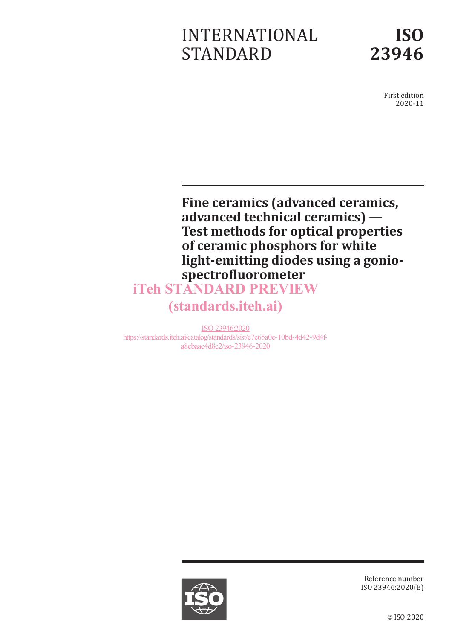# INTERNATIONAL STANDARD



First edition 2020-11

**Fine ceramics (advanced ceramics, advanced technical ceramics) — Test methods for optical properties of ceramic phosphors for white light-emitting diodes using a goniospectrofluorometer** iTeh STANDARD PREVIEW

# (standards.iteh.ai)

ISO 23946:2020 https://standards.iteh.ai/catalog/standards/sist/e7e65a0e-10bd-4d42-9d4fa8ebaac4d8c2/iso-23946-2020



Reference number ISO 23946:2020(E)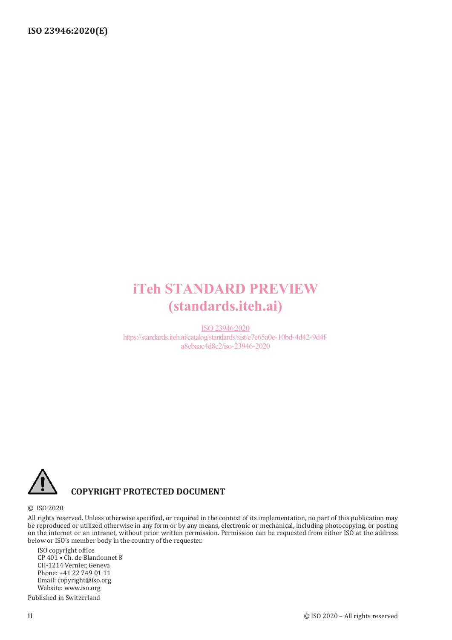# iTeh STANDARD PREVIEW (standards.iteh.ai)

ISO 23946:2020 https://standards.iteh.ai/catalog/standards/sist/e7e65a0e-10bd-4d42-9d4fa8ebaac4d8c2/iso-23946-2020



### **COPYRIGHT PROTECTED DOCUMENT**

#### © ISO 2020

All rights reserved. Unless otherwise specified, or required in the context of its implementation, no part of this publication may be reproduced or utilized otherwise in any form or by any means, electronic or mechanical, including photocopying, or posting on the internet or an intranet, without prior written permission. Permission can be requested from either ISO at the address below or ISO's member body in the country of the requester.

ISO copyright office CP 401 • Ch. de Blandonnet 8 CH-1214 Vernier, Geneva Phone: +41 22 749 01 11 Email: copyright@iso.org Website: www.iso.org Published in Switzerland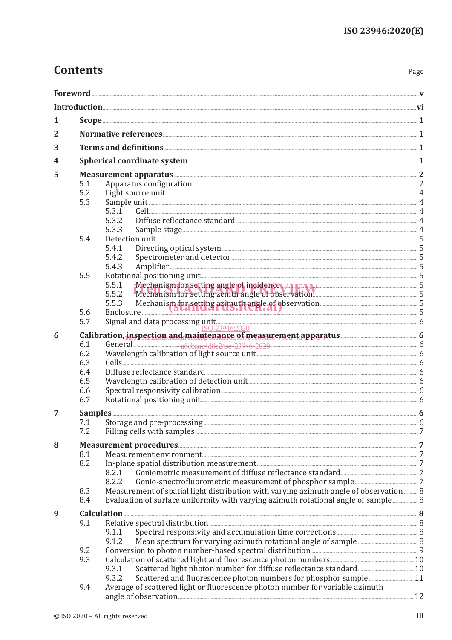# **Contents**

| ×<br>. .<br>۹<br>×<br>×<br>۰, |
|-------------------------------|
|-------------------------------|

| 1 |            |                                                                                                                                                                                                                                         |  |  |  |  |  |
|---|------------|-----------------------------------------------------------------------------------------------------------------------------------------------------------------------------------------------------------------------------------------|--|--|--|--|--|
| 2 |            |                                                                                                                                                                                                                                         |  |  |  |  |  |
| 3 |            |                                                                                                                                                                                                                                         |  |  |  |  |  |
| 4 |            | Spherical coordinate system <b>Exercise Exercise Coordinate System</b> 1                                                                                                                                                                |  |  |  |  |  |
| 5 |            |                                                                                                                                                                                                                                         |  |  |  |  |  |
|   | 5.1        |                                                                                                                                                                                                                                         |  |  |  |  |  |
|   | 5.2        |                                                                                                                                                                                                                                         |  |  |  |  |  |
|   | 5.3        | 5.3.1                                                                                                                                                                                                                                   |  |  |  |  |  |
|   |            | 5.3.2                                                                                                                                                                                                                                   |  |  |  |  |  |
|   |            | 5.3.3                                                                                                                                                                                                                                   |  |  |  |  |  |
|   | 5.4        |                                                                                                                                                                                                                                         |  |  |  |  |  |
|   |            | 5.4.1                                                                                                                                                                                                                                   |  |  |  |  |  |
|   |            | 5.4.2                                                                                                                                                                                                                                   |  |  |  |  |  |
|   |            | 5.4.3                                                                                                                                                                                                                                   |  |  |  |  |  |
|   | 5.5        | 5.5.1                                                                                                                                                                                                                                   |  |  |  |  |  |
|   |            | Mechanism for setting angle of incidence with a wide manuscritic setting angle of incidence with a wide manuscritic setting angle of incidence with a wide manuscritic setting angle of incidence with a setting of the settin<br>5.5.2 |  |  |  |  |  |
|   |            |                                                                                                                                                                                                                                         |  |  |  |  |  |
|   | 5.6        | 5.5.3 Mechanism for setting azimuth angle of observation                                                                                                                                                                                |  |  |  |  |  |
|   |            |                                                                                                                                                                                                                                         |  |  |  |  |  |
| 6 |            | 5.7 Signal and data processing unit<br><u>ISO 239462020</u><br><b>Calibration, inspection and maintenance of measurement apparatus</b>                                                                                                  |  |  |  |  |  |
|   | 6.1        |                                                                                                                                                                                                                                         |  |  |  |  |  |
|   | 6.2        |                                                                                                                                                                                                                                         |  |  |  |  |  |
|   | 6.3        |                                                                                                                                                                                                                                         |  |  |  |  |  |
|   | 6.4<br>6.5 |                                                                                                                                                                                                                                         |  |  |  |  |  |
|   | 6.6        |                                                                                                                                                                                                                                         |  |  |  |  |  |
|   | 6.7        |                                                                                                                                                                                                                                         |  |  |  |  |  |
| 7 |            |                                                                                                                                                                                                                                         |  |  |  |  |  |
|   | 7.1        |                                                                                                                                                                                                                                         |  |  |  |  |  |
|   | 7.2        |                                                                                                                                                                                                                                         |  |  |  |  |  |
| 8 |            |                                                                                                                                                                                                                                         |  |  |  |  |  |
|   | 8.1        |                                                                                                                                                                                                                                         |  |  |  |  |  |
|   | 8.2        |                                                                                                                                                                                                                                         |  |  |  |  |  |
|   |            | 8.2.1                                                                                                                                                                                                                                   |  |  |  |  |  |
|   |            | 8.2.2                                                                                                                                                                                                                                   |  |  |  |  |  |
|   | 8.3        | Measurement of spatial light distribution with varying azimuth angle of observation 8                                                                                                                                                   |  |  |  |  |  |
|   | 8.4        | Evaluation of surface uniformity with varying azimuth rotational angle of sample 8                                                                                                                                                      |  |  |  |  |  |
| 9 |            |                                                                                                                                                                                                                                         |  |  |  |  |  |
|   | 9.1        |                                                                                                                                                                                                                                         |  |  |  |  |  |
|   |            | 9.1.1<br>9.1.2                                                                                                                                                                                                                          |  |  |  |  |  |
|   | 9.2        |                                                                                                                                                                                                                                         |  |  |  |  |  |
|   | 9.3        |                                                                                                                                                                                                                                         |  |  |  |  |  |
|   |            | 9.3.1                                                                                                                                                                                                                                   |  |  |  |  |  |
|   |            | Scattered and fluorescence photon numbers for phosphor sample 11<br>9.3.2                                                                                                                                                               |  |  |  |  |  |
|   | 9.4        | Average of scattered light or fluorescence photon number for variable azimuth                                                                                                                                                           |  |  |  |  |  |
|   |            |                                                                                                                                                                                                                                         |  |  |  |  |  |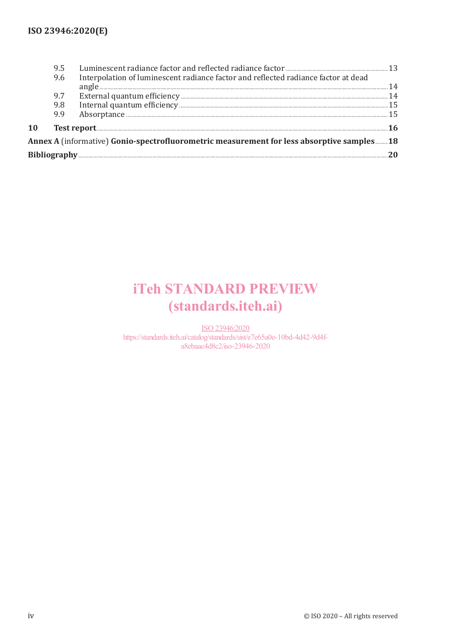|                                                                                           | 9.6 | Interpolation of luminescent radiance factor and reflected radiance factor at dead |    |  |  |
|-------------------------------------------------------------------------------------------|-----|------------------------------------------------------------------------------------|----|--|--|
|                                                                                           |     | $angle 1000$                                                                       | 14 |  |  |
|                                                                                           | 9.7 |                                                                                    |    |  |  |
|                                                                                           | 9.8 |                                                                                    |    |  |  |
|                                                                                           | 9.9 |                                                                                    |    |  |  |
| 10                                                                                        |     |                                                                                    |    |  |  |
| Annex A (informative) Gonio-spectrofluorometric measurement for less absorptive samples18 |     |                                                                                    |    |  |  |
|                                                                                           |     |                                                                                    |    |  |  |

# **iTeh STANDARD PREVIEW** (standards.iteh.ai)

ISO 23946:2020 https://standards.iteh.ai/catalog/standards/sist/e7e65a0e-10bd-4d42-9d4fa8ebaac4d8c2/iso-23946-2020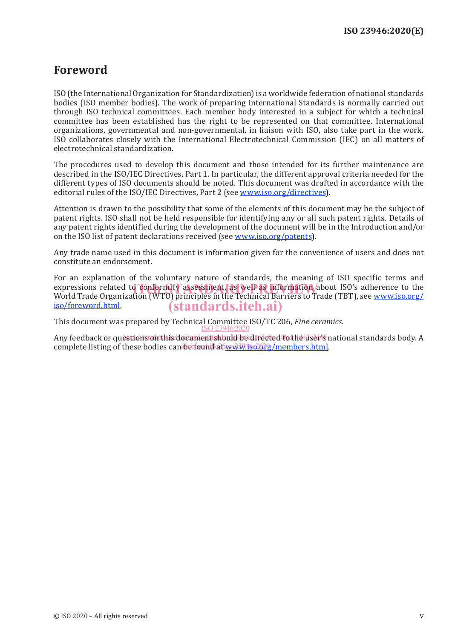### **Foreword**

ISO (the International Organization for Standardization) is a worldwide federation of national standards bodies (ISO member bodies). The work of preparing International Standards is normally carried out through ISO technical committees. Each member body interested in a subject for which a technical committee has been established has the right to be represented on that committee. International organizations, governmental and non-governmental, in liaison with ISO, also take part in the work. ISO collaborates closely with the International Electrotechnical Commission (IEC) on all matters of electrotechnical standardization.

The procedures used to develop this document and those intended for its further maintenance are described in the ISO/IEC Directives, Part 1. In particular, the different approval criteria needed for the different types of ISO documents should be noted. This document was drafted in accordance with the editorial rules of the ISO/IEC Directives, Part 2 (see www.iso.org/directives).

Attention is drawn to the possibility that some of the elements of this document may be the subject of patent rights. ISO shall not be held responsible for identifying any or all such patent rights. Details of any patent rights identified during the development of the document will be in the Introduction and/or on the ISO list of patent declarations received (see www.iso.org/patents).

Any trade name used in this document is information given for the convenience of users and does not constitute an endorsement.

For an explanation of the voluntary nature of standards, the meaning of ISO specific terms and expressions related to conformity assessment, as well as information about ISO's adherence to the experience or<br>World Trade Organization (WTO) principles in the Technical Barriers to Trade (TBT), see www.iso.org/ World Trade Organization (WTO) principles in the Technical Barriers to Trade (TBT), see www.iso.org/ iso/foreword.html. (standards.iteh.ai)

This document was prepared by Technical Committee ISO/TC 206, *Fine ceramics*. ISO 23946:2020

Any feedback or questions on this document should be directed to the user's national standards body. A complete listing of these bodies can be found at www.iso.org/members.html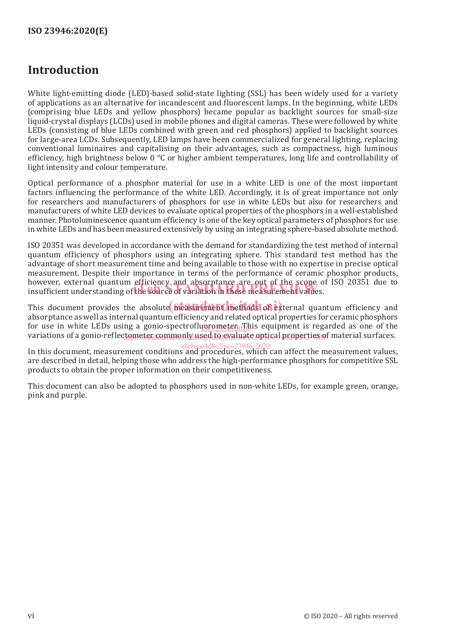# **Introduction**

White light-emitting diode (LED)-based solid-state lighting (SSL) has been widely used for a variety of applications as an alternative for incandescent and fluorescent lamps. In the beginning, white LEDs (comprising blue LEDs and yellow phosphors) became popular as backlight sources for small-size liquid-crystal displays (LCDs) used in mobile phones and digital cameras. These were followed by white LEDs (consisting of blue LEDs combined with green and red phosphors) applied to backlight sources for large-area LCDs. Subsequently, LED lamps have been commercialized for general lighting, replacing conventional luminaires and capitalising on their advantages, such as compactness, high luminous efficiency, high brightness below  $0^{\circ}$ C or higher ambient temperatures, long life and controllability of light intensity and colour temperature.

Optical performance of a phosphor material for use in a white LED is one of the most important factors influencing the performance of the white LED. Accordingly, it is of great importance not only for researchers and manufacturers of phosphors for use in white LEDs but also for researchers and manufacturers of white LED devices to evaluate optical properties of the phosphors in a well-established manner. Photoluminescence quantum efficiency is one of the key optical parameters of phosphors for use in white LEDs and has been measured extensively by using an integrating sphere-based absolute method.

ISO 20351 was developed in accordance with the demand for standardizing the test method of internal quantum efficiency of phosphors using an integrating sphere. This standard test method has the advantage of short measurement time and being available to those with no expertise in precise optical measurement. Despite their importance in terms of the performance of ceramic phosphor products, however, external quantum efficiency and absorptance are out of the scope of ISO 20351 due to nowever, external quantum emclency and absorptance are out of the scope of<br>insufficient understanding of the **source of variation in these measurement valu**es.

This document provides the absolute bleasurement methods of external quantum efficiency and absorptance as well as internal quantum efficiency and related optical properties for ceramic phosphors for use in white LEDs using a gonio-spectrofluorometer. *I*nis equipment is regarded as one of the variations of a gonio-reflec<del>tometer commonly used to evaluate</del> optical properties of material surfaces.

In this document, measurement conditions and procedures, which can affect the measurement values, are described in detail, helping those who address the high-performance phosphors for competitive SSL products to obtain the proper information on their competitiveness. a8ebaac4d8c2/iso-23946-2020

This document can also be adopted to phosphors used in non-white LEDs, for example green, orange, pink and purple.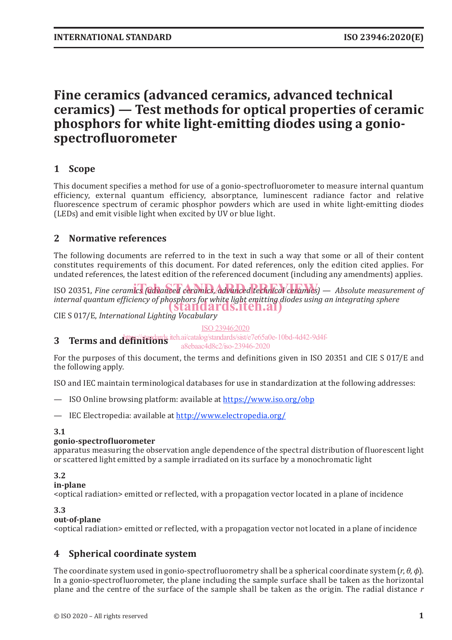# **Fine ceramics (advanced ceramics, advanced technical ceramics) — Test methods for optical properties of ceramic phosphors for white light-emitting diodes using a goniospectrofluorometer**

### **1 Scope**

This document specifies a method for use of a gonio-spectrofluorometer to measure internal quantum efficiency, external quantum efficiency, absorptance, luminescent radiance factor and relative fluorescence spectrum of ceramic phosphor powders which are used in white light-emitting diodes (LEDs) and emit visible light when excited by UV or blue light.

#### **2 Normative references**

The following documents are referred to in the text in such a way that some or all of their content constitutes requirements of this document. For dated references, only the edition cited applies. For undated references, the latest edition of the referenced document (including any amendments) applies.

ISO 20351, *Fine ceramics (advanced ceramics, advanced technical ceramics)* — Absolute measurement of *internal quantum efficiency of phosphors for white light emitting diodes using an integrating sphere* (standards.iteh.ai)

CIE S 017/E, *International Lighting Vocabulary*

ISO 23946:2020

**3 Terms and definitions** iteh.ai/catalog/standards/sist/e7e65a0e-10bd-4d42-9d4f-

a8ebaac4d8c2/iso-23946-2020

For the purposes of this document, the terms and definitions given in ISO 20351 and CIE S 017/E and the following apply.

ISO and IEC maintain terminological databases for use in standardization at the following addresses:

- ISO Online browsing platform: available at https://www.iso.org/obp
- IEC Electropedia: available at http://www.electropedia.org/

#### **3.1**

#### **gonio-spectrofluorometer**

apparatus measuring the observation angle dependence of the spectral distribution of fluorescent light or scattered light emitted by a sample irradiated on its surface by a monochromatic light

#### **3.2**

#### **in-plane**

<optical radiation> emitted or reflected, with a propagation vector located in a plane of incidence

#### **3.3**

#### **out-of-plane**

<optical radiation> emitted or reflected, with a propagation vector not located in a plane of incidence

#### **4 Spherical coordinate system**

The coordinate system used in gonio-spectrofluorometry shall be a spherical coordinate system  $(r, \theta, \phi)$ . In a gonio-spectrofluorometer, the plane including the sample surface shall be taken as the horizontal plane and the centre of the surface of the sample shall be taken as the origin. The radial distance *r*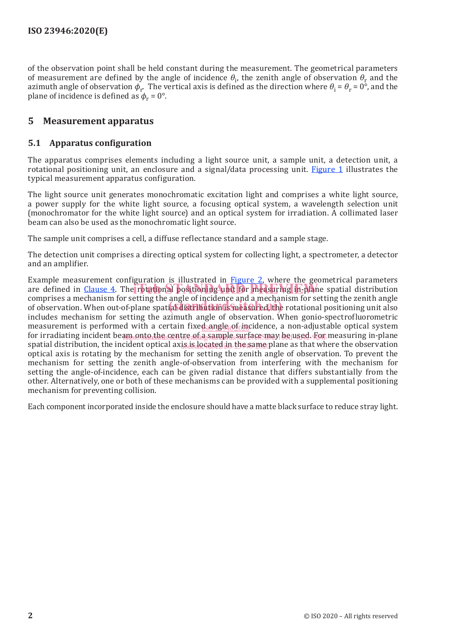of the observation point shall be held constant during the measurement. The geometrical parameters of measurement are defined by the angle of incidence  $\theta_i$ , the zenith angle of observation  $\theta_r$  and the azimuth angle of observation  $\phi_r$ . The vertical axis is defined as the direction where  $\theta_i = \theta_r = 0^{\circ}$ , and the plane of incidence is defined as  $\phi_r = 0^\circ$ .

#### **5 Measurement apparatus**

#### **5.1 Apparatus configuration**

The apparatus comprises elements including a light source unit, a sample unit, a detection unit, a rotational positioning unit, an enclosure and a signal/data processing unit. Figure 1 illustrates the typical measurement apparatus configuration.

The light source unit generates monochromatic excitation light and comprises a white light source, a power supply for the white light source, a focusing optical system, a wavelength selection unit (monochromator for the white light source) and an optical system for irradiation. A collimated laser beam can also be used as the monochromatic light source.

The sample unit comprises a cell, a diffuse reflectance standard and a sample stage.

The detection unit comprises a directing optical system for collecting light, a spectrometer, a detector and an amplifier.

Example measurement configuration is illustrated in **Figure 2**, where the geometrical parameters are defined in  $Cl_2$  anset 4. The rotational positioning unit for measuring in-plane spatial distribution commisses a mechanism for extinctly and positioning unit for measuring in-plane spatial distribution comprises a mechanism for setting the angle of incidence and a mechanism for setting the zenith angle comprises a mechanism for setting the angle of incidence and a mechanism for setting the zenith angle<br>of observation. When out-of-plane spatial distribution is measured, the rotational positioning unit also includes mechanism for setting the azimuth angle of observation. When gonio-spectrofluorometric measurement is performed with a certain fixed angle  $\phi$  incidence, a non-adjustable optical system for irradiating incident beam onto the centre allo sample surface may be used. For measuring in-plane spatial distribution, the incident optical axis is located in the same plane as that where the observation optical axis is rotating by the mechanism for setting the zenith angle of observation. To prevent the mechanism for setting the zenith angle-of-observation from interfering with the mechanism for setting the angle-of-incidence, each can be given radial distance that differs substantially from the other. Alternatively, one or both of these mechanisms can be provided with a supplemental positioning mechanism for preventing collision.

Each component incorporated inside the enclosure should have a matte black surface to reduce stray light.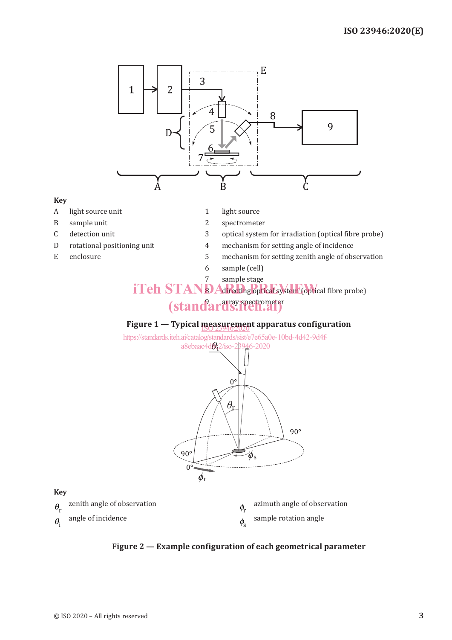

#### **Key**

- A light source unit 1 light source
- B sample unit 2 spectrometer
- 
- 
- 
- 
- 
- C detection unit 3 optical system for irradiation (optical fibre probe)
- D rotational positioning unit 4 mechanism for setting angle of incidence
- E enclosure 5 mechanism for setting zenith angle of observation
	- 6 sample (cell)

### 7 sample stage iTeh STAND Adrecting optical system (optical fibre probe) (standards.iten.ai)

## **Figure 1 — Typical measurement apparatus configuration** ISO 23946:2020

https://standards.iteh.ai/catalog/standards/sist/e7e65a0e-10bd-4d42-9d4fa8ebaac4d&<sub>2</sub>2/iso-23946-2020



**Key**

| zenith angle of observation | azimuth angle of observation |
|-----------------------------|------------------------------|
| angle of incidence          | sample rotation angle        |

**Figure 2 — Example configuration of each geometrical parameter**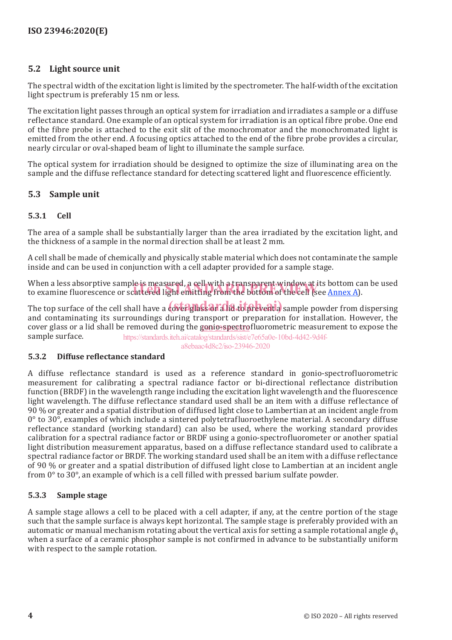#### **5.2 Light source unit**

The spectral width of the excitation light is limited by the spectrometer. The half-width of the excitation light spectrum is preferably 15 nm or less.

The excitation light passes through an optical system for irradiation and irradiates a sample or a diffuse reflectance standard. One example of an optical system for irradiation is an optical fibre probe. One end of the fibre probe is attached to the exit slit of the monochromator and the monochromated light is emitted from the other end. A focusing optics attached to the end of the fibre probe provides a circular, nearly circular or oval-shaped beam of light to illuminate the sample surface.

The optical system for irradiation should be designed to optimize the size of illuminating area on the sample and the diffuse reflectance standard for detecting scattered light and fluorescence efficiently.

#### **5.3 Sample unit**

#### **5.3.1 Cell**

The area of a sample shall be substantially larger than the area irradiated by the excitation light, and the thickness of a sample in the normal direction shall be at least 2 mm.

A cell shall be made of chemically and physically stable material which does not contaminate the sample inside and can be used in conjunction with a cell adapter provided for a sample stage.

When a less absorptive sample is measured, a cell with a transparent window at its bottom can be used When a less absorptive sample is measured, a cell with a transparent window at its bottom ca<br>to examine fluorescence or scattered light emitting from the bottom of the cell (see <u>Annex A</u>).

The top surface of the cell shall have a cover glass or a lid to prevent a sample powder from dispersing and contaminating its surroundings during transport or preparation for installation. However, the cover glass or a lid shall be removed during the goni<u>o-spectro</u>fluorometric measurement to expose the sample surface. https://standards.iteh.ai/catalog/standards/sist/e7e65a0e-10bd-4d42-9d4f-

a8ebaac4d8c2/iso-23946-2020

#### **5.3.2 Diffuse reflectance standard**

A diffuse reflectance standard is used as a reference standard in gonio-spectrofluorometric measurement for calibrating a spectral radiance factor or bi-directional reflectance distribution function (BRDF) in the wavelength range including the excitation light wavelength and the fluorescence light wavelength. The diffuse reflectance standard used shall be an item with a diffuse reflectance of 90 % or greater and a spatial distribution of diffused light close to Lambertian at an incident angle from  $0^{\circ}$  to  $30^{\circ}$ , examples of which include a sintered polytetrafluoroethylene material. A secondary diffuse reflectance standard (working standard) can also be used, where the working standard provides calibration for a spectral radiance factor or BRDF using a gonio-spectrofluorometer or another spatial light distribution measurement apparatus, based on a diffuse reflectance standard used to calibrate a spectral radiance factor or BRDF. The working standard used shall be an item with a diffuse reflectance of 90 % or greater and a spatial distribution of diffused light close to Lambertian at an incident angle from 0° to 30°, an example of which is a cell filled with pressed barium sulfate powder.

#### **5.3.3 Sample stage**

A sample stage allows a cell to be placed with a cell adapter, if any, at the centre portion of the stage such that the sample surface is always kept horizontal. The sample stage is preferably provided with an automatic or manual mechanism rotating about the vertical axis for setting a sample rotational angle *ϕ*<sup>s</sup> when a surface of a ceramic phosphor sample is not confirmed in advance to be substantially uniform with respect to the sample rotation.